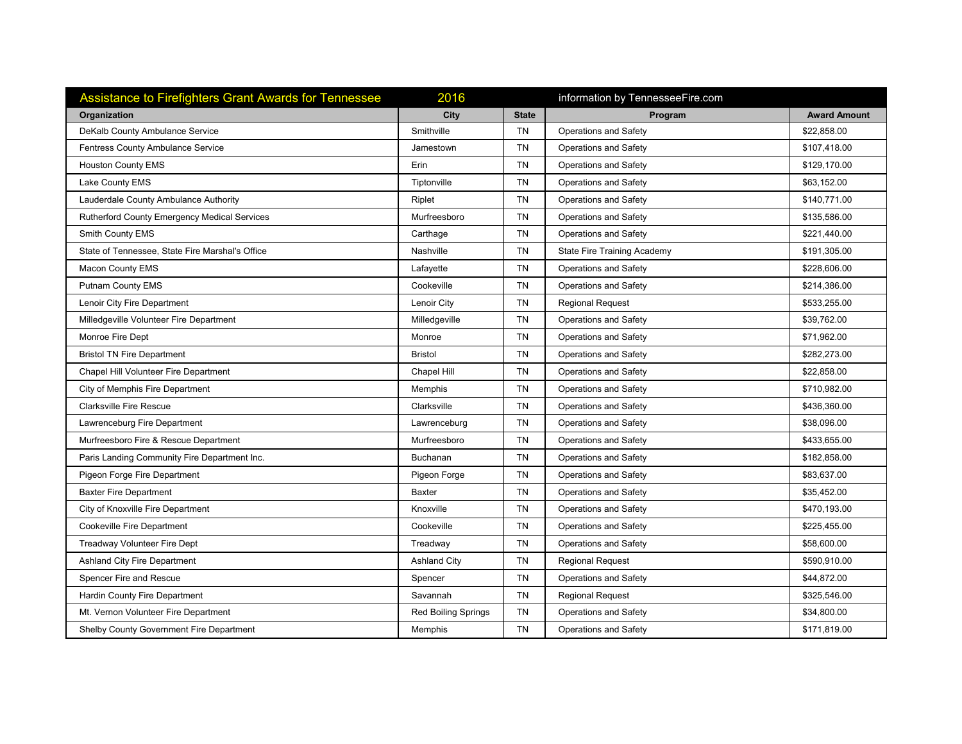| City<br><b>State</b><br>Program<br>Smithville<br><b>TN</b><br>Operations and Safety<br>\$22,858.00<br><b>TN</b><br>\$107,418.00<br>Jamestown<br><b>Operations and Safety</b><br><b>TN</b><br>\$129,170.00<br>Erin<br><b>Operations and Safety</b><br>Tiptonville<br>TN<br>\$63,152.00<br>Operations and Safety<br><b>TN</b><br>Riplet<br>Operations and Safety<br>\$140,771.00<br>TN<br><b>Operations and Safety</b><br>\$135,586.00<br>Murfreesboro<br>\$221,440.00<br>Carthage<br>TN<br>Operations and Safety<br>Nashville<br>TN<br>\$191,305.00<br><b>State Fire Training Academy</b><br>TN<br>Lafayette<br><b>Operations and Safety</b><br>\$228,606.00<br>Cookeville<br>TN<br><b>Operations and Safety</b><br>\$214,386.00<br><b>TN</b><br>\$533,255.00<br>Lenoir City<br><b>Regional Request</b><br><b>TN</b><br>Milledgeville<br><b>Operations and Safety</b><br>\$39,762.00<br><b>TN</b><br><b>Operations and Safety</b><br>\$71,962.00<br>Monroe<br><b>Bristol</b><br><b>TN</b><br><b>Operations and Safety</b><br>\$282,273.00<br><b>Chapel Hill</b><br><b>TN</b><br>\$22,858.00<br><b>Operations and Safety</b><br><b>TN</b><br>Memphis<br><b>Operations and Safety</b><br>\$710,982.00<br>Clarksville<br><b>TN</b><br>\$436,360.00<br>Operations and Safety<br><b>TN</b><br><b>Operations and Safety</b><br>\$38,096.00<br>Lawrenceburg<br><b>TN</b><br>Murfreesboro<br><b>Operations and Safety</b><br>\$433,655.00<br><b>TN</b><br>Buchanan<br><b>Operations and Safety</b><br>\$182,858.00<br><b>TN</b><br>Pigeon Forge<br>Operations and Safety<br>\$83,637.00<br><b>TN</b><br><b>Operations and Safety</b><br>\$35,452.00<br><b>Baxter</b><br>Knoxville<br>TN<br>Operations and Safety<br>\$470,193.00<br>Cookeville<br>TN<br>Operations and Safety<br>\$225,455.00<br><b>TN</b><br>Treadway<br>Operations and Safety<br>\$58,600.00<br><b>Ashland City</b><br>TN<br><b>Regional Request</b><br>\$590,910.00<br><b>TN</b><br>\$44,872.00<br>Spencer<br><b>Operations and Safety</b><br><b>TN</b><br>Savannah<br><b>Regional Request</b><br>\$325,546.00<br>Red Boiling Springs<br><b>TN</b><br><b>Operations and Safety</b><br>\$34,800.00<br><b>TN</b><br>Memphis<br>Operations and Safety<br>\$171.819.00 | <b>Assistance to Firefighters Grant Awards for Tennessee</b> | 2016 | information by TennesseeFire.com |                     |
|------------------------------------------------------------------------------------------------------------------------------------------------------------------------------------------------------------------------------------------------------------------------------------------------------------------------------------------------------------------------------------------------------------------------------------------------------------------------------------------------------------------------------------------------------------------------------------------------------------------------------------------------------------------------------------------------------------------------------------------------------------------------------------------------------------------------------------------------------------------------------------------------------------------------------------------------------------------------------------------------------------------------------------------------------------------------------------------------------------------------------------------------------------------------------------------------------------------------------------------------------------------------------------------------------------------------------------------------------------------------------------------------------------------------------------------------------------------------------------------------------------------------------------------------------------------------------------------------------------------------------------------------------------------------------------------------------------------------------------------------------------------------------------------------------------------------------------------------------------------------------------------------------------------------------------------------------------------------------------------------------------------------------------------------------------------------------------------------------------------------------------------------------------------------------------------------------------------------------|--------------------------------------------------------------|------|----------------------------------|---------------------|
| DeKalb County Ambulance Service<br>Fentress County Ambulance Service<br>Lake County EMS<br>Lauderdale County Ambulance Authority<br>Rutherford County Emergency Medical Services<br>Smith County EMS<br>State of Tennessee, State Fire Marshal's Office<br><b>Macon County EMS</b><br>Putnam County EMS<br>Lenoir City Fire Department<br>Milledgeville Volunteer Fire Department<br>Monroe Fire Dept<br><b>Bristol TN Fire Department</b><br>Chapel Hill Volunteer Fire Department<br>City of Memphis Fire Department<br><b>Clarksville Fire Rescue</b><br>Lawrenceburg Fire Department<br>Murfreesboro Fire & Rescue Department<br>Paris Landing Community Fire Department Inc.<br>Pigeon Forge Fire Department<br><b>Baxter Fire Department</b><br>City of Knoxville Fire Department<br>Cookeville Fire Department<br>Treadway Volunteer Fire Dept<br><b>Ashland City Fire Department</b><br>Spencer Fire and Rescue<br>Hardin County Fire Department<br>Mt. Vernon Volunteer Fire Department<br>Shelby County Government Fire Department                                                                                                                                                                                                                                                                                                                                                                                                                                                                                                                                                                                                                                                                                                                                                                                                                                                                                                                                                                                                                                                                                                                                                                                 | Organization                                                 |      |                                  | <b>Award Amount</b> |
| Houston County EMS                                                                                                                                                                                                                                                                                                                                                                                                                                                                                                                                                                                                                                                                                                                                                                                                                                                                                                                                                                                                                                                                                                                                                                                                                                                                                                                                                                                                                                                                                                                                                                                                                                                                                                                                                                                                                                                                                                                                                                                                                                                                                                                                                                                                           |                                                              |      |                                  |                     |
|                                                                                                                                                                                                                                                                                                                                                                                                                                                                                                                                                                                                                                                                                                                                                                                                                                                                                                                                                                                                                                                                                                                                                                                                                                                                                                                                                                                                                                                                                                                                                                                                                                                                                                                                                                                                                                                                                                                                                                                                                                                                                                                                                                                                                              |                                                              |      |                                  |                     |
|                                                                                                                                                                                                                                                                                                                                                                                                                                                                                                                                                                                                                                                                                                                                                                                                                                                                                                                                                                                                                                                                                                                                                                                                                                                                                                                                                                                                                                                                                                                                                                                                                                                                                                                                                                                                                                                                                                                                                                                                                                                                                                                                                                                                                              |                                                              |      |                                  |                     |
|                                                                                                                                                                                                                                                                                                                                                                                                                                                                                                                                                                                                                                                                                                                                                                                                                                                                                                                                                                                                                                                                                                                                                                                                                                                                                                                                                                                                                                                                                                                                                                                                                                                                                                                                                                                                                                                                                                                                                                                                                                                                                                                                                                                                                              |                                                              |      |                                  |                     |
|                                                                                                                                                                                                                                                                                                                                                                                                                                                                                                                                                                                                                                                                                                                                                                                                                                                                                                                                                                                                                                                                                                                                                                                                                                                                                                                                                                                                                                                                                                                                                                                                                                                                                                                                                                                                                                                                                                                                                                                                                                                                                                                                                                                                                              |                                                              |      |                                  |                     |
|                                                                                                                                                                                                                                                                                                                                                                                                                                                                                                                                                                                                                                                                                                                                                                                                                                                                                                                                                                                                                                                                                                                                                                                                                                                                                                                                                                                                                                                                                                                                                                                                                                                                                                                                                                                                                                                                                                                                                                                                                                                                                                                                                                                                                              |                                                              |      |                                  |                     |
|                                                                                                                                                                                                                                                                                                                                                                                                                                                                                                                                                                                                                                                                                                                                                                                                                                                                                                                                                                                                                                                                                                                                                                                                                                                                                                                                                                                                                                                                                                                                                                                                                                                                                                                                                                                                                                                                                                                                                                                                                                                                                                                                                                                                                              |                                                              |      |                                  |                     |
|                                                                                                                                                                                                                                                                                                                                                                                                                                                                                                                                                                                                                                                                                                                                                                                                                                                                                                                                                                                                                                                                                                                                                                                                                                                                                                                                                                                                                                                                                                                                                                                                                                                                                                                                                                                                                                                                                                                                                                                                                                                                                                                                                                                                                              |                                                              |      |                                  |                     |
|                                                                                                                                                                                                                                                                                                                                                                                                                                                                                                                                                                                                                                                                                                                                                                                                                                                                                                                                                                                                                                                                                                                                                                                                                                                                                                                                                                                                                                                                                                                                                                                                                                                                                                                                                                                                                                                                                                                                                                                                                                                                                                                                                                                                                              |                                                              |      |                                  |                     |
|                                                                                                                                                                                                                                                                                                                                                                                                                                                                                                                                                                                                                                                                                                                                                                                                                                                                                                                                                                                                                                                                                                                                                                                                                                                                                                                                                                                                                                                                                                                                                                                                                                                                                                                                                                                                                                                                                                                                                                                                                                                                                                                                                                                                                              |                                                              |      |                                  |                     |
|                                                                                                                                                                                                                                                                                                                                                                                                                                                                                                                                                                                                                                                                                                                                                                                                                                                                                                                                                                                                                                                                                                                                                                                                                                                                                                                                                                                                                                                                                                                                                                                                                                                                                                                                                                                                                                                                                                                                                                                                                                                                                                                                                                                                                              |                                                              |      |                                  |                     |
|                                                                                                                                                                                                                                                                                                                                                                                                                                                                                                                                                                                                                                                                                                                                                                                                                                                                                                                                                                                                                                                                                                                                                                                                                                                                                                                                                                                                                                                                                                                                                                                                                                                                                                                                                                                                                                                                                                                                                                                                                                                                                                                                                                                                                              |                                                              |      |                                  |                     |
|                                                                                                                                                                                                                                                                                                                                                                                                                                                                                                                                                                                                                                                                                                                                                                                                                                                                                                                                                                                                                                                                                                                                                                                                                                                                                                                                                                                                                                                                                                                                                                                                                                                                                                                                                                                                                                                                                                                                                                                                                                                                                                                                                                                                                              |                                                              |      |                                  |                     |
|                                                                                                                                                                                                                                                                                                                                                                                                                                                                                                                                                                                                                                                                                                                                                                                                                                                                                                                                                                                                                                                                                                                                                                                                                                                                                                                                                                                                                                                                                                                                                                                                                                                                                                                                                                                                                                                                                                                                                                                                                                                                                                                                                                                                                              |                                                              |      |                                  |                     |
|                                                                                                                                                                                                                                                                                                                                                                                                                                                                                                                                                                                                                                                                                                                                                                                                                                                                                                                                                                                                                                                                                                                                                                                                                                                                                                                                                                                                                                                                                                                                                                                                                                                                                                                                                                                                                                                                                                                                                                                                                                                                                                                                                                                                                              |                                                              |      |                                  |                     |
|                                                                                                                                                                                                                                                                                                                                                                                                                                                                                                                                                                                                                                                                                                                                                                                                                                                                                                                                                                                                                                                                                                                                                                                                                                                                                                                                                                                                                                                                                                                                                                                                                                                                                                                                                                                                                                                                                                                                                                                                                                                                                                                                                                                                                              |                                                              |      |                                  |                     |
|                                                                                                                                                                                                                                                                                                                                                                                                                                                                                                                                                                                                                                                                                                                                                                                                                                                                                                                                                                                                                                                                                                                                                                                                                                                                                                                                                                                                                                                                                                                                                                                                                                                                                                                                                                                                                                                                                                                                                                                                                                                                                                                                                                                                                              |                                                              |      |                                  |                     |
|                                                                                                                                                                                                                                                                                                                                                                                                                                                                                                                                                                                                                                                                                                                                                                                                                                                                                                                                                                                                                                                                                                                                                                                                                                                                                                                                                                                                                                                                                                                                                                                                                                                                                                                                                                                                                                                                                                                                                                                                                                                                                                                                                                                                                              |                                                              |      |                                  |                     |
|                                                                                                                                                                                                                                                                                                                                                                                                                                                                                                                                                                                                                                                                                                                                                                                                                                                                                                                                                                                                                                                                                                                                                                                                                                                                                                                                                                                                                                                                                                                                                                                                                                                                                                                                                                                                                                                                                                                                                                                                                                                                                                                                                                                                                              |                                                              |      |                                  |                     |
|                                                                                                                                                                                                                                                                                                                                                                                                                                                                                                                                                                                                                                                                                                                                                                                                                                                                                                                                                                                                                                                                                                                                                                                                                                                                                                                                                                                                                                                                                                                                                                                                                                                                                                                                                                                                                                                                                                                                                                                                                                                                                                                                                                                                                              |                                                              |      |                                  |                     |
|                                                                                                                                                                                                                                                                                                                                                                                                                                                                                                                                                                                                                                                                                                                                                                                                                                                                                                                                                                                                                                                                                                                                                                                                                                                                                                                                                                                                                                                                                                                                                                                                                                                                                                                                                                                                                                                                                                                                                                                                                                                                                                                                                                                                                              |                                                              |      |                                  |                     |
|                                                                                                                                                                                                                                                                                                                                                                                                                                                                                                                                                                                                                                                                                                                                                                                                                                                                                                                                                                                                                                                                                                                                                                                                                                                                                                                                                                                                                                                                                                                                                                                                                                                                                                                                                                                                                                                                                                                                                                                                                                                                                                                                                                                                                              |                                                              |      |                                  |                     |
|                                                                                                                                                                                                                                                                                                                                                                                                                                                                                                                                                                                                                                                                                                                                                                                                                                                                                                                                                                                                                                                                                                                                                                                                                                                                                                                                                                                                                                                                                                                                                                                                                                                                                                                                                                                                                                                                                                                                                                                                                                                                                                                                                                                                                              |                                                              |      |                                  |                     |
|                                                                                                                                                                                                                                                                                                                                                                                                                                                                                                                                                                                                                                                                                                                                                                                                                                                                                                                                                                                                                                                                                                                                                                                                                                                                                                                                                                                                                                                                                                                                                                                                                                                                                                                                                                                                                                                                                                                                                                                                                                                                                                                                                                                                                              |                                                              |      |                                  |                     |
|                                                                                                                                                                                                                                                                                                                                                                                                                                                                                                                                                                                                                                                                                                                                                                                                                                                                                                                                                                                                                                                                                                                                                                                                                                                                                                                                                                                                                                                                                                                                                                                                                                                                                                                                                                                                                                                                                                                                                                                                                                                                                                                                                                                                                              |                                                              |      |                                  |                     |
|                                                                                                                                                                                                                                                                                                                                                                                                                                                                                                                                                                                                                                                                                                                                                                                                                                                                                                                                                                                                                                                                                                                                                                                                                                                                                                                                                                                                                                                                                                                                                                                                                                                                                                                                                                                                                                                                                                                                                                                                                                                                                                                                                                                                                              |                                                              |      |                                  |                     |
|                                                                                                                                                                                                                                                                                                                                                                                                                                                                                                                                                                                                                                                                                                                                                                                                                                                                                                                                                                                                                                                                                                                                                                                                                                                                                                                                                                                                                                                                                                                                                                                                                                                                                                                                                                                                                                                                                                                                                                                                                                                                                                                                                                                                                              |                                                              |      |                                  |                     |
|                                                                                                                                                                                                                                                                                                                                                                                                                                                                                                                                                                                                                                                                                                                                                                                                                                                                                                                                                                                                                                                                                                                                                                                                                                                                                                                                                                                                                                                                                                                                                                                                                                                                                                                                                                                                                                                                                                                                                                                                                                                                                                                                                                                                                              |                                                              |      |                                  |                     |
|                                                                                                                                                                                                                                                                                                                                                                                                                                                                                                                                                                                                                                                                                                                                                                                                                                                                                                                                                                                                                                                                                                                                                                                                                                                                                                                                                                                                                                                                                                                                                                                                                                                                                                                                                                                                                                                                                                                                                                                                                                                                                                                                                                                                                              |                                                              |      |                                  |                     |
|                                                                                                                                                                                                                                                                                                                                                                                                                                                                                                                                                                                                                                                                                                                                                                                                                                                                                                                                                                                                                                                                                                                                                                                                                                                                                                                                                                                                                                                                                                                                                                                                                                                                                                                                                                                                                                                                                                                                                                                                                                                                                                                                                                                                                              |                                                              |      |                                  |                     |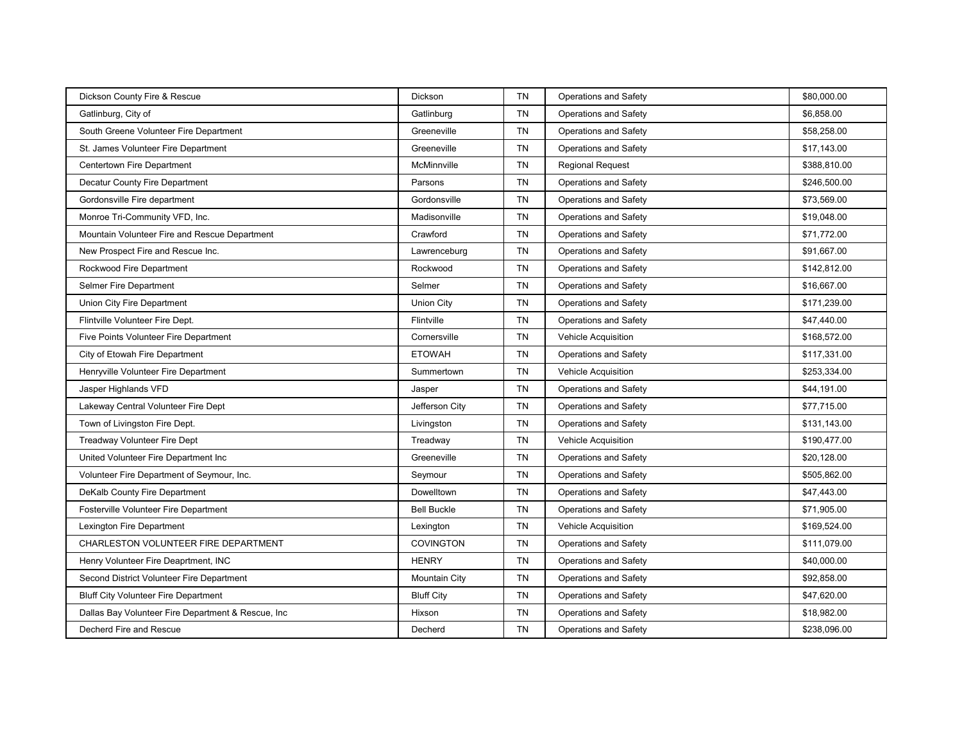| Dickson County Fire & Rescue                       | Dickson            | <b>TN</b> | <b>Operations and Safety</b> | \$80,000.00  |
|----------------------------------------------------|--------------------|-----------|------------------------------|--------------|
| Gatlinburg, City of                                | Gatlinburg         | <b>TN</b> | Operations and Safety        | \$6,858.00   |
| South Greene Volunteer Fire Department             | Greeneville        | <b>TN</b> | <b>Operations and Safety</b> | \$58,258.00  |
| St. James Volunteer Fire Department                | Greeneville        | <b>TN</b> | Operations and Safety        | \$17,143.00  |
| Centertown Fire Department                         | McMinnville        | <b>TN</b> | <b>Regional Request</b>      | \$388,810.00 |
| Decatur County Fire Department                     | Parsons            | <b>TN</b> | <b>Operations and Safety</b> | \$246,500.00 |
| Gordonsville Fire department                       | Gordonsville       | <b>TN</b> | Operations and Safety        | \$73,569.00  |
| Monroe Tri-Community VFD, Inc.                     | Madisonville       | <b>TN</b> | <b>Operations and Safety</b> | \$19,048.00  |
| Mountain Volunteer Fire and Rescue Department      | Crawford           | <b>TN</b> | Operations and Safety        | \$71,772.00  |
| New Prospect Fire and Rescue Inc.                  | Lawrenceburg       | <b>TN</b> | Operations and Safety        | \$91,667.00  |
| Rockwood Fire Department                           | Rockwood           | TN        | Operations and Safety        | \$142,812.00 |
| Selmer Fire Department                             | Selmer             | TN        | <b>Operations and Safety</b> | \$16,667.00  |
| Union City Fire Department                         | <b>Union City</b>  | <b>TN</b> | Operations and Safety        | \$171,239.00 |
| Flintville Volunteer Fire Dept.                    | Flintville         | TN        | Operations and Safety        | \$47,440.00  |
| Five Points Volunteer Fire Department              | Cornersville       | TN        | <b>Vehicle Acquisition</b>   | \$168,572.00 |
| City of Etowah Fire Department                     | <b>ETOWAH</b>      | <b>TN</b> | Operations and Safety        | \$117,331.00 |
| Henryville Volunteer Fire Department               | Summertown         | TN        | Vehicle Acquisition          | \$253,334.00 |
| Jasper Highlands VFD                               | Jasper             | <b>TN</b> | Operations and Safety        | \$44,191.00  |
| Lakeway Central Volunteer Fire Dept                | Jefferson City     | TN        | <b>Operations and Safety</b> | \$77,715.00  |
| Town of Livingston Fire Dept.                      | Livingston         | <b>TN</b> | Operations and Safety        | \$131,143.00 |
| Treadway Volunteer Fire Dept                       | Treadway           | <b>TN</b> | Vehicle Acquisition          | \$190,477.00 |
| United Volunteer Fire Department Inc               | Greeneville        | TN        | Operations and Safety        | \$20,128.00  |
| Volunteer Fire Department of Seymour, Inc.         | Seymour            | <b>TN</b> | Operations and Safety        | \$505,862.00 |
| DeKalb County Fire Department                      | Dowelltown         | TN        | <b>Operations and Safety</b> | \$47,443.00  |
| Fosterville Volunteer Fire Department              | <b>Bell Buckle</b> | <b>TN</b> | Operations and Safety        | \$71,905.00  |
| Lexington Fire Department                          | Lexington          | TN        | Vehicle Acquisition          | \$169,524.00 |
| CHARLESTON VOLUNTEER FIRE DEPARTMENT               | <b>COVINGTON</b>   | <b>TN</b> | Operations and Safety        | \$111,079.00 |
| Henry Volunteer Fire Deaprtment, INC               | <b>HENRY</b>       | <b>TN</b> | <b>Operations and Safety</b> | \$40,000.00  |
| Second District Volunteer Fire Department          | Mountain City      | <b>TN</b> | Operations and Safety        | \$92,858.00  |
| <b>Bluff City Volunteer Fire Department</b>        | <b>Bluff City</b>  | <b>TN</b> | <b>Operations and Safety</b> | \$47,620.00  |
| Dallas Bay Volunteer Fire Department & Rescue, Inc | Hixson             | <b>TN</b> | Operations and Safety        | \$18,982.00  |
| Decherd Fire and Rescue                            | Decherd            | <b>TN</b> | Operations and Safety        | \$238,096.00 |